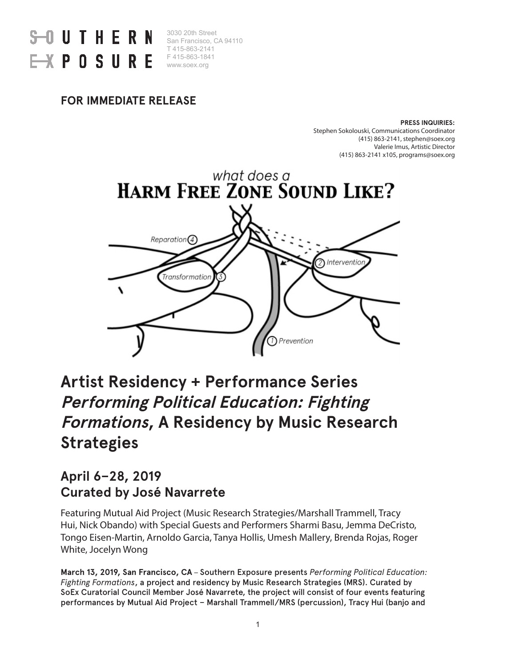

3030 20th Street San Francisco, CA 94110 T 415-863-2141 F 415-863-1841 www.soex.org

### **FOR IMMEDIATE RELEASE**

#### **PRESS INQUIRIES:**

Stephen Sokolouski, Communications Coordinator (415) 863-2141, stephen@soex.org Valerie Imus, Artistic Director (415) 863-2141 x105, programs@soex.org



## **Artist Residency + Performance Series Performing Political Education: Fighting Formations, A Residency by Music Research Strategies**

## **April 6–28, 2019 Curated by José Navarrete**

Featuring Mutual Aid Project (Music Research Strategies/Marshall Trammell, Tracy Hui, Nick Obando) with Special Guests and Performers Sharmi Basu, Jemma DeCristo, Tongo Eisen-Martin, Arnoldo Garcia, Tanya Hollis, Umesh Mallery, Brenda Rojas, Roger White, Jocelyn Wong

**March 13, 2019, San Francisco, CA** – Southern Exposure presents *Performing Political Education: Fighting Formations*, a project and residency by Music Research Strategies (MRS). Curated by SoEx Curatorial Council Member José Navarrete, the project will consist of four events featuring performances by Mutual Aid Project – Marshall Trammell/MRS (percussion), Tracy Hui (banjo and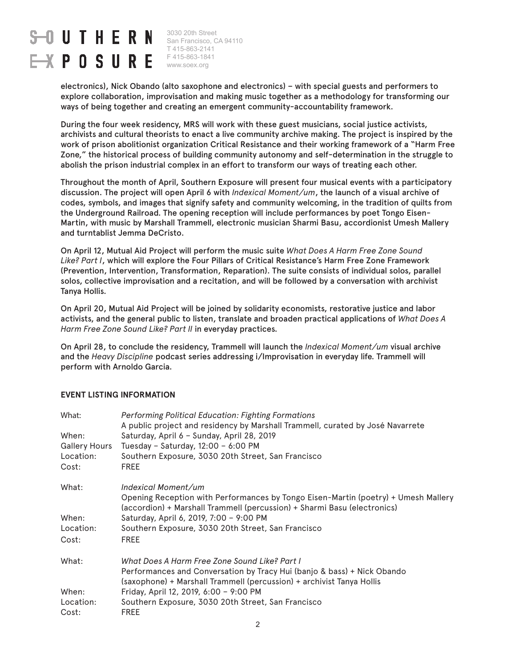# $-0$  UTHERN  $\rightarrow$  POSURE

3030 20th Street San Francisco, CA 94110 T 415-863-2141 F 415-863-1841 www.soex.org

electronics), Nick Obando (alto saxophone and electronics) – with special guests and performers to explore collaboration, improvisation and making music together as a methodology for transforming our ways of being together and creating an emergent community-accountability framework.

During the four week residency, MRS will work with these guest musicians, social justice activists, archivists and cultural theorists to enact a live community archive making. The project is inspired by the work of prison abolitionist organization Critical Resistance and their working framework of a "Harm Free Zone," the historical process of building community autonomy and self-determination in the struggle to abolish the prison industrial complex in an effort to transform our ways of treating each other.

Throughout the month of April, Southern Exposure will present four musical events with a participatory discussion. The project will open April 6 with *Indexical Moment/um*, the launch of a visual archive of codes, symbols, and images that signify safety and community welcoming, in the tradition of quilts from the Underground Railroad. The opening reception will include performances by poet Tongo Eisen-Martin, with music by Marshall Trammell, electronic musician Sharmi Basu, accordionist Umesh Mallery and turntablist Jemma DeCristo.

On April 12, Mutual Aid Project will perform the music suite *What Does A Harm Free Zone Sound Like? Part I*, which will explore the Four Pillars of Critical Resistance's Harm Free Zone Framework (Prevention, Intervention, Transformation, Reparation). The suite consists of individual solos, parallel solos, collective improvisation and a recitation, and will be followed by a conversation with archivist Tanya Hollis.

On April 20, Mutual Aid Project will be joined by solidarity economists, restorative justice and labor activists, and the general public to listen, translate and broaden practical applications of *What Does A Harm Free Zone Sound Like? Part II* in everyday practices.

On April 28, to conclude the residency, Trammell will launch the *Indexical Moment/um* visual archive and the *Heavy Discipline* podcast series addressing i/Improvisation in everyday life. Trammell will perform with Arnoldo Garcia.

#### **EVENT LISTING INFORMATION**

| What:                | <b>Performing Political Education: Fighting Formations</b>                                                                                                     |
|----------------------|----------------------------------------------------------------------------------------------------------------------------------------------------------------|
|                      | A public project and residency by Marshall Trammell, curated by José Navarrete                                                                                 |
| When:                | Saturday, April 6 - Sunday, April 28, 2019                                                                                                                     |
| <b>Gallery Hours</b> | Tuesday - Saturday, 12:00 - 6:00 PM                                                                                                                            |
| Location:            | Southern Exposure, 3030 20th Street, San Francisco                                                                                                             |
| Cost:                | <b>FREE</b>                                                                                                                                                    |
| What:                | Indexical Moment/um                                                                                                                                            |
|                      | Opening Reception with Performances by Tongo Eisen-Martin (poetry) + Umesh Mallery<br>(accordion) + Marshall Trammell (percussion) + Sharmi Basu (electronics) |
| When:                | Saturday, April 6, 2019, 7:00 - 9:00 PM                                                                                                                        |
| Location:            | Southern Exposure, 3030 20th Street, San Francisco                                                                                                             |
| Cost:                | <b>FREE</b>                                                                                                                                                    |
| What:                | What Does A Harm Free Zone Sound Like? Part I                                                                                                                  |
|                      | Performances and Conversation by Tracy Hui (banjo & bass) + Nick Obando                                                                                        |
|                      | (saxophone) + Marshall Trammell (percussion) + archivist Tanya Hollis                                                                                          |
| When:                | Friday, April 12, 2019, 6:00 - 9:00 PM                                                                                                                         |
| Location:            | Southern Exposure, 3030 20th Street, San Francisco                                                                                                             |
| Cost:                | <b>FREE</b>                                                                                                                                                    |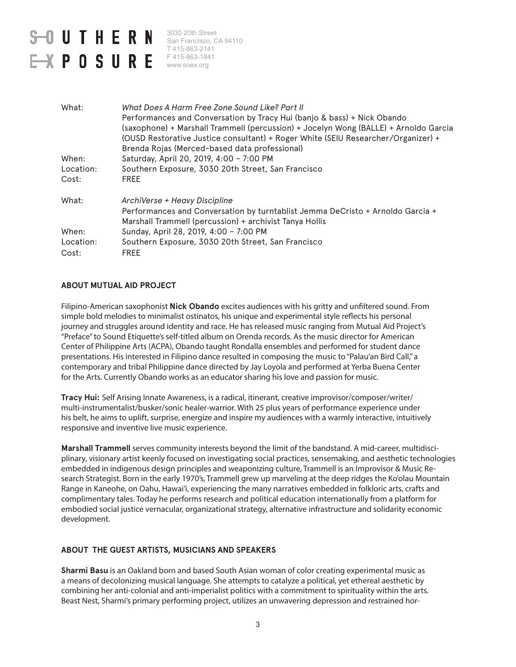# **S-OUTHERN**  $\rightarrow$  POSURE

3030 20th Street San Francisco, CA 94110 T 415-863-2141 F 415-863-1841 www.soex.org

| What:     | What Does A Harm Free Zone Sound Like? Part II<br>Performances and Conversation by Tracy Hui (banjo & bass) + Nick Obando<br>(saxophone) + Marshall Trammell (percussion) + Jocelyn Wong (BALLE) + Arnoldo Garcia<br>(OUSD Restorative Justice consultant) + Roger White (SEIU Researcher/Organizer) +<br>Brenda Rojas (Merced-based data professional) |
|-----------|---------------------------------------------------------------------------------------------------------------------------------------------------------------------------------------------------------------------------------------------------------------------------------------------------------------------------------------------------------|
| When:     | Saturday, April 20, 2019, 4:00 - 7:00 PM                                                                                                                                                                                                                                                                                                                |
| Location: | Southern Exposure, 3030 20th Street, San Francisco                                                                                                                                                                                                                                                                                                      |
| Cost:     | <b>FREE</b>                                                                                                                                                                                                                                                                                                                                             |
| What:     | ArchiVerse + Heavy Discipline                                                                                                                                                                                                                                                                                                                           |
|           | Performances and Conversation by turntablist Jemma DeCristo + Arnoldo Garcia +<br>Marshall Trammell (percussion) + archivist Tanya Hollis                                                                                                                                                                                                               |
| When:     | Sunday, April 28, 2019, 4:00 - 7:00 PM                                                                                                                                                                                                                                                                                                                  |
| Location: | Southern Exposure, 3030 20th Street, San Francisco                                                                                                                                                                                                                                                                                                      |
| Cost:     | <b>FREE</b>                                                                                                                                                                                                                                                                                                                                             |

#### **ABOUT MUTUAL AID PROJECT**

Filipino-American saxophonist **Nick Obando** excites audiences with his gritty and unfiltered sound. From simple bold melodies to minimalist ostinatos, his unique and experimental style reflects his personal journey and struggles around identity and race. He has released music ranging from Mutual Aid Project's "Preface" to Sound Etiquette's self-titled album on Orenda records. As the music director for American Center of Philippine Arts (ACPA), Obando taught Rondalla ensembles and performed for student dance presentations. His interested in Filipino dance resulted in composing the music to "Palau'an Bird Call," a contemporary and tribal Philippine dance directed by Jay Loyola and performed at Yerba Buena Center for the Arts. Currently Obando works as an educator sharing his love and passion for music.

**Tracy Hui:** Self Arising Innate Awareness, is a radical, itinerant, creative improvisor/composer/writer/ multi-instrumentalist/busker/sonic healer-warrior. With 25 plus years of performance experience under his belt, he aims to uplift, surprise, energize and inspire my audiences with a warmly interactive, intuitively responsive and inventive live music experience.

**Marshall Trammell** serves community interests beyond the limit of the bandstand. A mid-career, multidisciplinary, visionary artist keenly focused on investigating social practices, sensemaking, and aesthetic technologies embedded in indigenous design principles and weaponizing culture, Trammell is an Improvisor & Music Research Strategist. Born in the early 1970's, Trammell grew up marveling at the deep ridges the Ko'olau Mountain Range in Kaneohe, on Oahu, Hawai'i, experiencing the many narratives embedded in folkloric arts, crafts and complimentary tales. Today he performs research and political education internationally from a platform for embodied social justice vernacular, organizational strategy, alternative infrastructure and solidarity economic development.

#### **ABOUT THE GUEST ARTISTS, MUSICIANS AND SPEAKERS**

**Sharmi Basu** is an Oakland born and based South Asian woman of color creating experimental music as a means of decolonizing musical language. She attempts to catalyze a political, yet ethereal aesthetic by combining her anti-colonial and anti-imperialist politics with a commitment to spirituality within the arts. Beast Nest, Sharmi's primary performing project, utilizes an unwavering depression and restrained hor-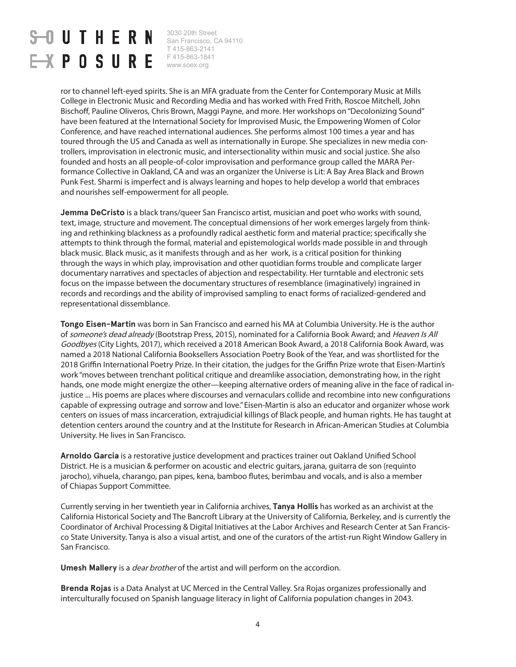# **UTHERN**  $\rightarrow$  POSURE

3030 20th Street San Francisco, CA 94110 T 415-863-2141 F 415-863-1841 www.soex.org

ror to channel left-eyed spirits. She is an MFA graduate from the Center for Contemporary Music at Mills College in Electronic Music and Recording Media and has worked with Fred Frith, Roscoe Mitchell, John Bischoff, Pauline Oliveros, Chris Brown, Maggi Payne, and more. Her workshops on "Decolonizing Sound" have been featured at the International Society for Improvised Music, the Empowering Women of Color Conference, and have reached international audiences. She performs almost 100 times a year and has toured through the US and Canada as well as internationally in Europe. She specializes in new media controllers, improvisation in electronic music, and intersectionality within music and social justice. She also founded and hosts an all people-of-color improvisation and performance group called the MARA Performance Collective in Oakland, CA and was an organizer the Universe is Lit: A Bay Area Black and Brown Punk Fest. Sharmi is imperfect and is always learning and hopes to help develop a world that embraces and nourishes self-empowerment for all people.

**Jemma DeCristo** is a black trans/queer San Francisco artist, musician and poet who works with sound, text, image, structure and movement. The conceptual dimensions of her work emerges largely from thinking and rethinking blackness as a profoundly radical aesthetic form and material practice; specifically she attempts to think through the formal, material and epistemological worlds made possible in and through black music. Black music, as it manifests through and as her work, is a critical position for thinking through the ways in which play, improvisation and other quotidian forms trouble and complicate larger documentary narratives and spectacles of abjection and respectability. Her turntable and electronic sets focus on the impasse between the documentary structures of resemblance (imaginatively) ingrained in records and recordings and the ability of improvised sampling to enact forms of racialized-gendered and representational dissemblance.

**Tongo Eisen-Martin** was born in San Francisco and earned his MA at Columbia University. He is the author of someone's dead already (Bootstrap Press, 2015), nominated for a California Book Award; and Heaven Is All Goodbyes (City Lights, 2017), which received a 2018 American Book Award, a 2018 California Book Award, was named a 2018 National California Booksellers Association Poetry Book of the Year, and was shortlisted for the 2018 Griffin International Poetry Prize. In their citation, the judges for the Griffin Prize wrote that Eisen-Martin's work "moves between trenchant political critique and dreamlike association, demonstrating how, in the right hands, one mode might energize the other—keeping alternative orders of meaning alive in the face of radical injustice ... His poems are places where discourses and vernaculars collide and recombine into new configurations capable of expressing outrage and sorrow and love." Eisen-Martin is also an educator and organizer whose work centers on issues of mass incarceration, extrajudicial killings of Black people, and human rights. He has taught at detention centers around the country and at the Institute for Research in African-American Studies at Columbia University. He lives in San Francisco.

**Arnoldo Garcia** is a restorative justice development and practices trainer out Oakland Unified School District. He is a musician & performer on acoustic and electric guitars, jarana, guitarra de son (requinto jarocho), vihuela, charango, pan pipes, kena, bamboo flutes, berimbau and vocals, and is also a member of Chiapas Support Committee.

Currently serving in her twentieth year in California archives, **Tanya Hollis** has worked as an archivist at the California Historical Society and The Bancroft Library at the University of California, Berkeley, and is currently the Coordinator of Archival Processing & Digital Initiatives at the Labor Archives and Research Center at San Francisco State University. Tanya is also a visual artist, and one of the curators of the artist-run Right Window Gallery in San Francisco.

**Umesh Mallery** is a dear brother of the artist and will perform on the accordion.

**Brenda Rojas** is a Data Analyst at UC Merced in the Central Valley. Sra Rojas organizes professionally and interculturally focused on Spanish language literacy in light of California population changes in 2043.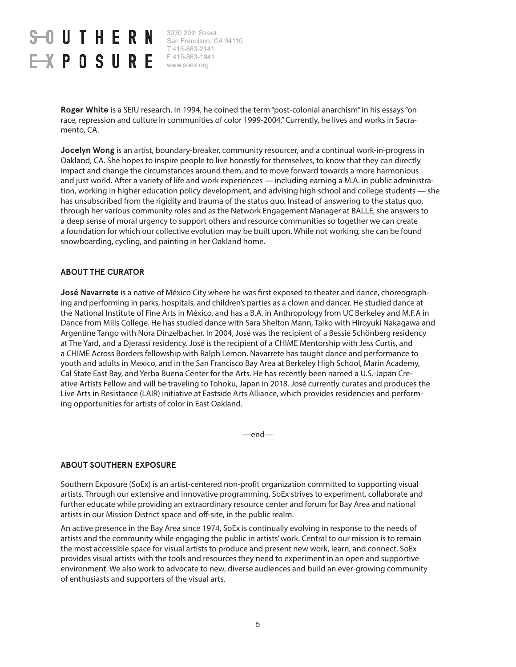# **JUTHERN**  $\rightarrow$  POSURE

3030 20th Street San Francisco, CA 94110 T 415-863-2141 F 415-863-1841 www.soex.org

**Roger White** is a SEIU research. In 1994, he coined the term "post-colonial anarchism" in his essays "on race, repression and culture in communities of color 1999-2004." Currently, he lives and works in Sacramento, CA.

**Jocelyn Wong** is an artist, boundary-breaker, community resourcer, and a continual work-in-progress in Oakland, CA. She hopes to inspire people to live honestly for themselves, to know that they can directly impact and change the circumstances around them, and to move forward towards a more harmonious and just world. After a variety of life and work experiences — including earning a M.A. in public administration, working in higher education policy development, and advising high school and college students — she has unsubscribed from the rigidity and trauma of the status quo. Instead of answering to the status quo, through her various community roles and as the Network Engagement Manager at BALLE, she answers to a deep sense of moral urgency to support others and resource communities so together we can create a foundation for which our collective evolution may be built upon. While not working, she can be found snowboarding, cycling, and painting in her Oakland home.

#### **ABOUT THE CURATOR**

**José Navarrete** is a native of México City where he was first exposed to theater and dance, choreographing and performing in parks, hospitals, and children's parties as a clown and dancer. He studied dance at the National Institute of Fine Arts in México, and has a B.A. in Anthropology from UC Berkeley and M.F.A in Dance from Mills College. He has studied dance with Sara Shelton Mann, Taiko with Hiroyuki Nakagawa and Argentine Tango with Nora Dinzelbacher. In 2004, José was the recipient of a Bessie Schönberg residency at The Yard, and a Djerassi residency. José is the recipient of a CHIME Mentorship with Jess Curtis, and a CHIME Across Borders fellowship with Ralph Lemon. Navarrete has taught dance and performance to youth and adults in Mexico, and in the San Francisco Bay Area at Berkeley High School, Marin Academy, Cal State East Bay, and Yerba Buena Center for the Arts. He has recently been named a U.S.-Japan Creative Artists Fellow and will be traveling to Tohoku, Japan in 2018. José currently curates and produces the Live Arts in Resistance (LAIR) initiative at Eastside Arts Alliance, which provides residencies and performing opportunities for artists of color in East Oakland.

—end—

#### **ABOUT SOUTHERN EXPOSURE**

Southern Exposure (SoEx) is an artist-centered non-profit organization committed to supporting visual artists. Through our extensive and innovative programming, SoEx strives to experiment, collaborate and further educate while providing an extraordinary resource center and forum for Bay Area and national artists in our Mission District space and off-site, in the public realm.

An active presence in the Bay Area since 1974, SoEx is continually evolving in response to the needs of artists and the community while engaging the public in artists' work. Central to our mission is to remain the most accessible space for visual artists to produce and present new work, learn, and connect. SoEx provides visual artists with the tools and resources they need to experiment in an open and supportive environment. We also work to advocate to new, diverse audiences and build an ever-growing community of enthusiasts and supporters of the visual arts.